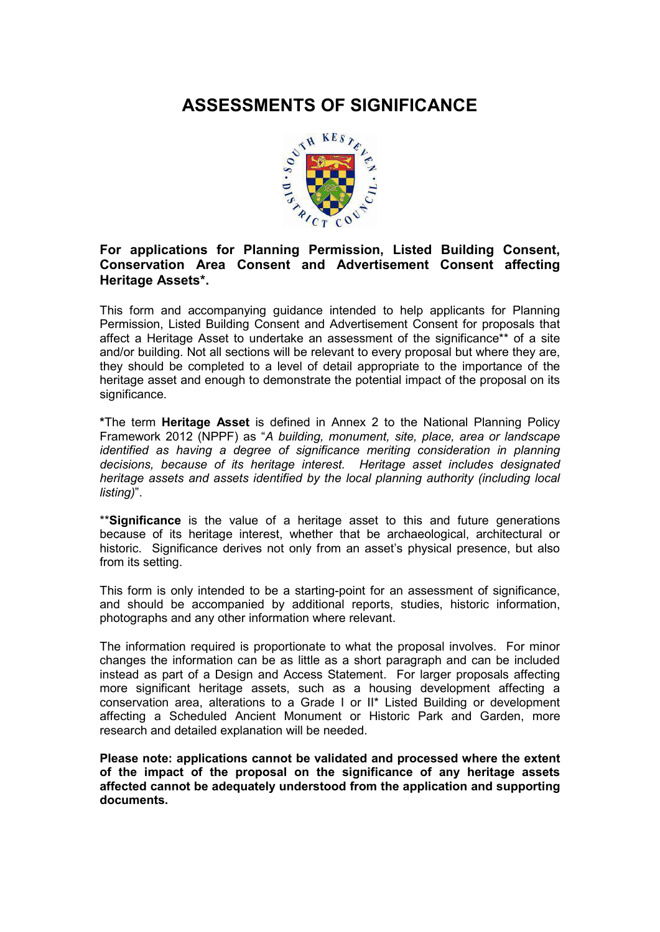# **ASSESSMENTS OF SIGNIFICANCE**



# **For applications for Planning Permission, Listed Building Consent, Conservation Area Consent and Advertisement Consent affecting Heritage Assets\*.**

This form and accompanying guidance intended to help applicants for Planning Permission, Listed Building Consent and Advertisement Consent for proposals that affect a Heritage Asset to undertake an assessment of the significance\*\* of a site and/or building. Not all sections will be relevant to every proposal but where they are, they should be completed to a level of detail appropriate to the importance of the heritage asset and enough to demonstrate the potential impact of the proposal on its significance.

**\***The term **Heritage Asset** is defined in Annex 2 to the National Planning Policy Framework 2012 (NPPF) as "*A building, monument, site, place, area or landscape identified as having a degree of significance meriting consideration in planning decisions, because of its heritage interest. Heritage asset includes designated heritage assets and assets identified by the local planning authority (including local listing)*".

\*\***Significance** is the value of a heritage asset to this and future generations because of its heritage interest, whether that be archaeological, architectural or historic. Significance derives not only from an asset's physical presence, but also from its setting.

This form is only intended to be a starting-point for an assessment of significance, and should be accompanied by additional reports, studies, historic information, photographs and any other information where relevant.

The information required is proportionate to what the proposal involves. For minor changes the information can be as little as a short paragraph and can be included instead as part of a Design and Access Statement. For larger proposals affecting more significant heritage assets, such as a housing development affecting a conservation area, alterations to a Grade I or II\* Listed Building or development affecting a Scheduled Ancient Monument or Historic Park and Garden, more research and detailed explanation will be needed.

**Please note: applications cannot be validated and processed where the extent of the impact of the proposal on the significance of any heritage assets affected cannot be adequately understood from the application and supporting documents.**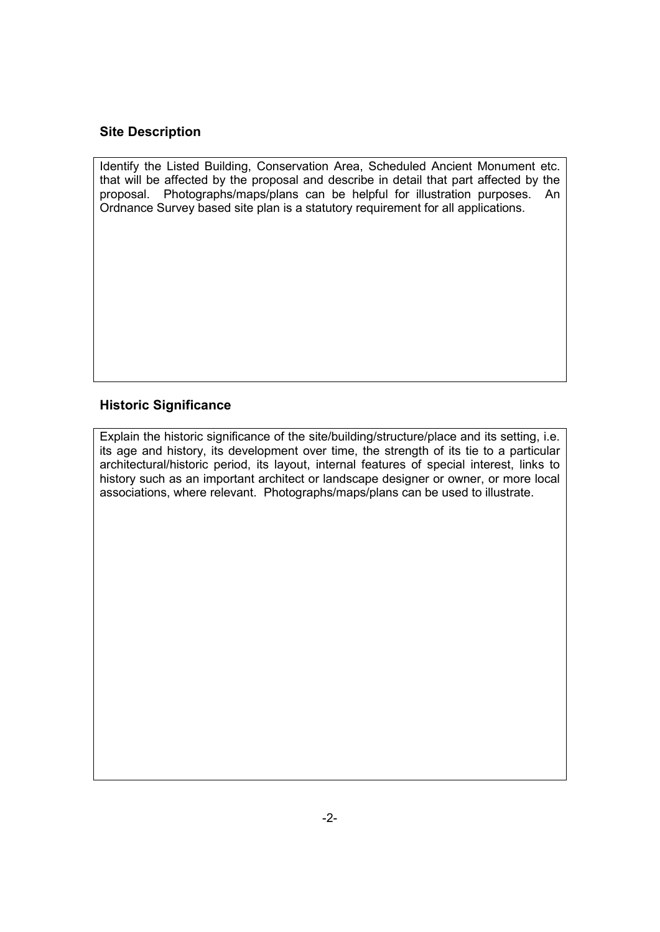# **Site Description**

Identify the Listed Building, Conservation Area, Scheduled Ancient Monument etc. that will be affected by the proposal and describe in detail that part affected by the proposal. Photographs/maps/plans can be helpful for illustration purposes. An Ordnance Survey based site plan is a statutory requirement for all applications.

# **Historic Significance**

Explain the historic significance of the site/building/structure/place and its setting, i.e. its age and history, its development over time, the strength of its tie to a particular architectural/historic period, its layout, internal features of special interest, links to history such as an important architect or landscape designer or owner, or more local associations, where relevant. Photographs/maps/plans can be used to illustrate.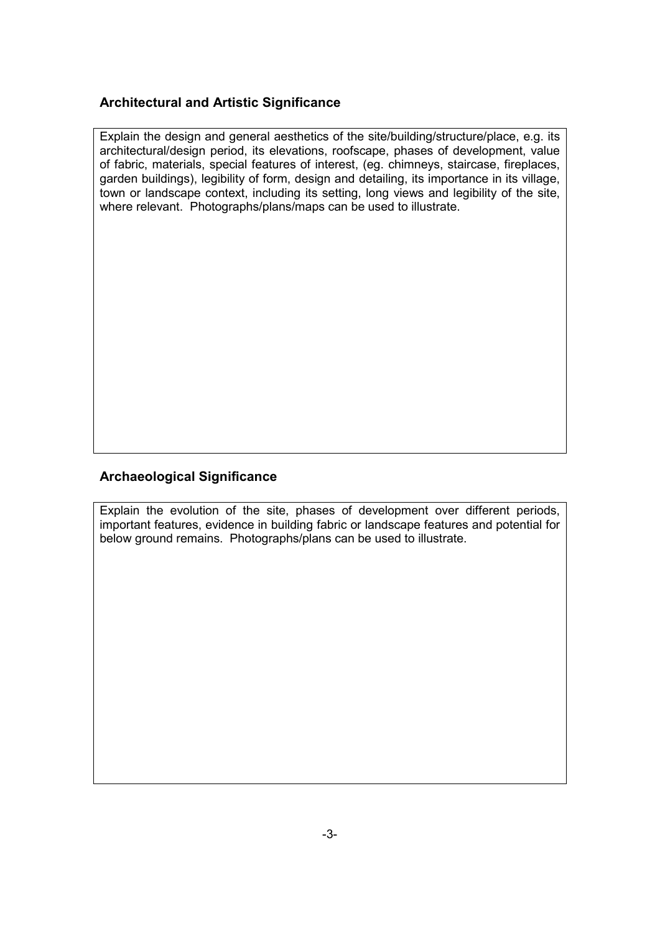# **Architectural and Artistic Significance**

Explain the design and general aesthetics of the site/building/structure/place, e.g. its architectural/design period, its elevations, roofscape, phases of development, value of fabric, materials, special features of interest, (eg. chimneys, staircase, fireplaces, garden buildings), legibility of form, design and detailing, its importance in its village, town or landscape context, including its setting, long views and legibility of the site, where relevant. Photographs/plans/maps can be used to illustrate.

# **Archaeological Significance**

Explain the evolution of the site, phases of development over different periods, important features, evidence in building fabric or landscape features and potential for below ground remains. Photographs/plans can be used to illustrate.